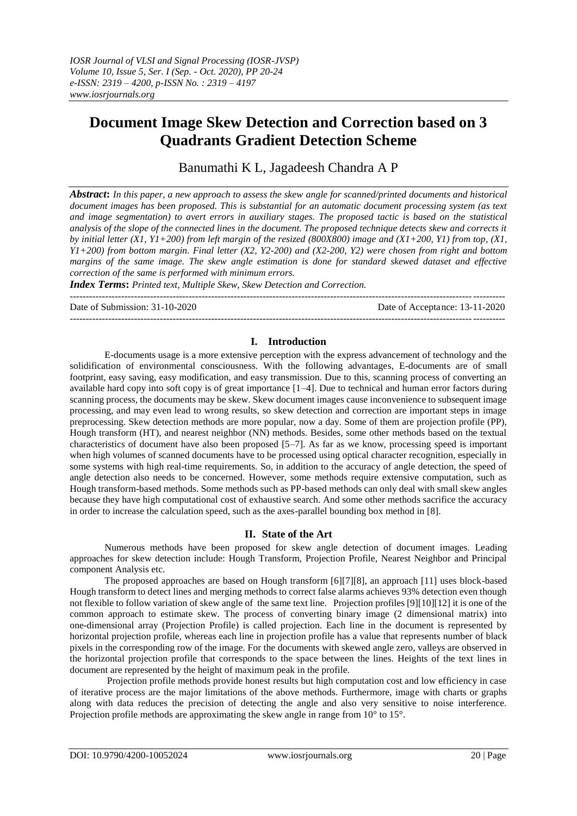# **Document Image Skew Detection and Correction based on 3 Quadrants Gradient Detection Scheme**

Banumathi K L, Jagadeesh Chandra A P

*Abstract***:** *In this paper, a new approach to assess the skew angle for scanned/printed documents and historical document images has been proposed. This is substantial for an automatic document processing system (as text and image segmentation) to avert errors in auxiliary stages. The proposed tactic is based on the statistical analysis of the slope of the connected lines in the document. The proposed technique detects skew and corrects it by initial letter (X1, Y1+200) from left margin of the resized (800X800) image and (X1+200, Y1) from top, (X1, Y1+200) from bottom margin. Final letter (X2, Y2-200) and (X2-200, Y2) were chosen from right and bottom margins of the same image. The skew angle estimation is done for standard skewed dataset and effective correction of the same is performed with minimum errors.*

*Index Terms***:** *Printed text, Multiple Skew, Skew Detection and Correction.*

Date of Submission: 31-10-2020 Date of Acceptance: 13-11-2020

# **I. Introduction**

---------------------------------------------------------------------------------------------------------------------------------------

E-documents usage is a more extensive perception with the express advancement of technology and the solidification of environmental consciousness. With the following advantages, E-documents are of small footprint, easy saving, easy modification, and easy transmission. Due to this, scanning process of converting an available hard copy into soft copy is of great importance [1–4]. Due to technical and human error factors during scanning process, the documents may be skew. Skew document images cause inconvenience to subsequent image processing, and may even lead to wrong results, so skew detection and correction are important steps in image preprocessing. Skew detection methods are more popular, now a day. Some of them are projection profile (PP), Hough transform (HT), and nearest neighbor (NN) methods. Besides, some other methods based on the textual characteristics of document have also been proposed [5–7]. As far as we know, processing speed is important when high volumes of scanned documents have to be processed using optical character recognition, especially in some systems with high real-time requirements. So, in addition to the accuracy of angle detection, the speed of angle detection also needs to be concerned. However, some methods require extensive computation, such as Hough transform-based methods. Some methods such as PP-based methods can only deal with small skew angles because they have high computational cost of exhaustive search. And some other methods sacrifice the accuracy in order to increase the calculation speed, such as the axes-parallel bounding box method in [8].

# **II. State of the Art**

Numerous methods have been proposed for skew angle detection of document images. Leading approaches for skew detection include: Hough Transform, Projection Profile, Nearest Neighbor and Principal component Analysis etc.

The proposed approaches are based on Hough transform [6][7][8], an approach [11] uses block-based Hough transform to detect lines and merging methods to correct false alarms achieves 93% detection even though not flexible to follow variation of skew angle of the same text line. Projection profiles [9][10][12] it is one of the common approach to estimate skew. The process of converting binary image (2 dimensional matrix) into one-dimensional array (Projection Profile) is called projection. Each line in the document is represented by horizontal projection profile, whereas each line in projection profile has a value that represents number of black pixels in the corresponding row of the image. For the documents with skewed angle zero, valleys are observed in the horizontal projection profile that corresponds to the space between the lines. Heights of the text lines in document are represented by the height of maximum peak in the profile.

Projection profile methods provide honest results but high computation cost and low efficiency in case of iterative process are the major limitations of the above methods. Furthermore, image with charts or graphs along with data reduces the precision of detecting the angle and also very sensitive to noise interference. Projection profile methods are approximating the skew angle in range from 10° to 15°.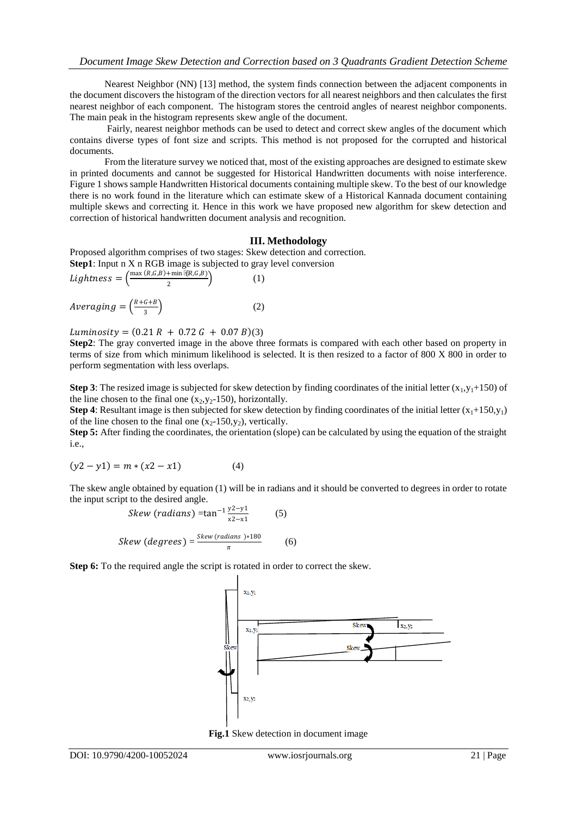Nearest Neighbor (NN) [13] method, the system finds connection between the adjacent components in the document discovers the histogram of the direction vectors for all nearest neighbors and then calculates the first nearest neighbor of each component. The histogram stores the centroid angles of nearest neighbor components. The main peak in the histogram represents skew angle of the document.

Fairly, nearest neighbor methods can be used to detect and correct skew angles of the document which contains diverse types of font size and scripts. This method is not proposed for the corrupted and historical documents.

From the literature survey we noticed that, most of the existing approaches are designed to estimate skew in printed documents and cannot be suggested for Historical Handwritten documents with noise interference. Figure 1 shows sample Handwritten Historical documents containing multiple skew. To the best of our knowledge there is no work found in the literature which can estimate skew of a Historical Kannada document containing multiple skews and correcting it. Hence in this work we have proposed new algorithm for skew detection and correction of historical handwritten document analysis and recognition.

## **III. Methodology**

(1)

Proposed algorithm comprises of two stages: Skew detection and correction. **Step1**: Input n X n RGB image is subjected to gray level conversion

Lightness = 
$$
\left(\frac{\max(R,G,B)+\min\{\Re G,G,B\}}{2}\right)
$$

$$
Averageing = \left(\frac{R + G + B}{3}\right) \tag{2}
$$

 $Luminosity = (0.21 R + 0.72 G + 0.07 B)(3)$ 

**Step2**: The gray converted image in the above three formats is compared with each other based on property in terms of size from which minimum likelihood is selected. It is then resized to a factor of 800 X 800 in order to perform segmentation with less overlaps.

**Step 3**: The resized image is subjected for skew detection by finding coordinates of the initial letter  $(x_1, y_1+150)$  of the line chosen to the final one  $(x_2, y_2-150)$ , horizontally.

**Step 4**: Resultant image is then subjected for skew detection by finding coordinates of the initial letter  $(x_1+150, y_1)$ of the line chosen to the final one  $(x_2-150,y_2)$ , vertically.

**Step 5:** After finding the coordinates, the orientation (slope) can be calculated by using the equation of the straight i.e.,

$$
(y2 - y1) = m * (x2 - x1)
$$
 (4)

The skew angle obtained by equation (1) will be in radians and it should be converted to degrees in order to rotate the input script to the desired angle.

$$
Skew (radians) = \tan^{-1} \frac{y^2 - y^1}{x^2 - x^1}
$$
 (5)  
\n
$$
Skew (degrees) = \frac{Skew (radians) * 180}{x^2 - x^1}
$$
 (6)

**Step 6:** To the required angle the script is rotated in order to correct the skew.

 $\pi$ 



**Fig.1** Skew detection in document image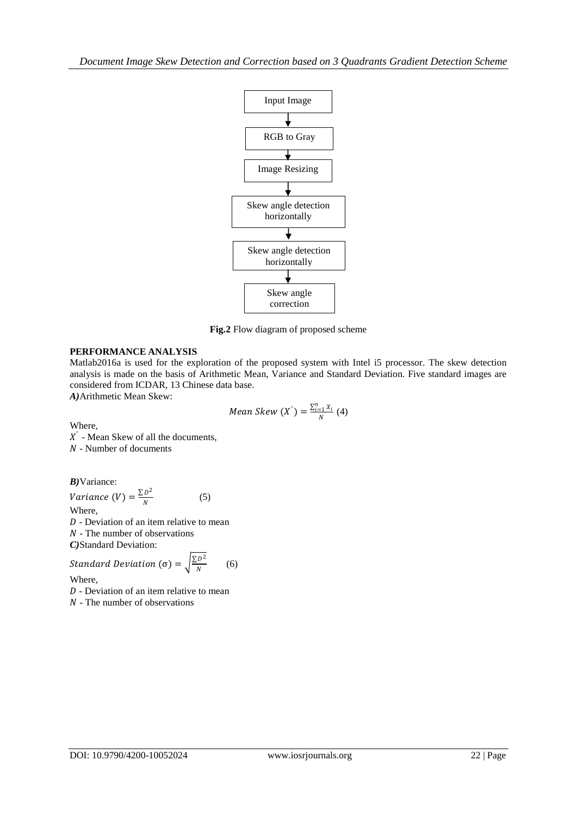

**Fig.2** Flow diagram of proposed scheme

# **PERFORMANCE ANALYSIS**

Matlab2016a is used for the exploration of the proposed system with Intel i5 processor. The skew detection analysis is made on the basis of Arithmetic Mean, Variance and Standard Deviation. Five standard images are considered from ICDAR, 13 Chinese data base.

*A)*Arithmetic Mean Skew:

Mean Skew 
$$
(X') = \frac{\sum_{i=1}^{n} X_i}{N}
$$
 (4)

Where,

 $X'$  - Mean Skew of all the documents, - Number of documents

*B)*Variance:

Variance  $(V) = \frac{\sum D^2}{N}$ N (5) Where,  $D$  - Deviation of an item relative to mean  $N$  - The number of observations *C)*Standard Deviation:

Standard Deviation (σ) = 
$$
\sqrt{\frac{\Sigma D^2}{N}}
$$
 (6)

Where,

 $D$  - Deviation of an item relative to mean

 $N$  - The number of observations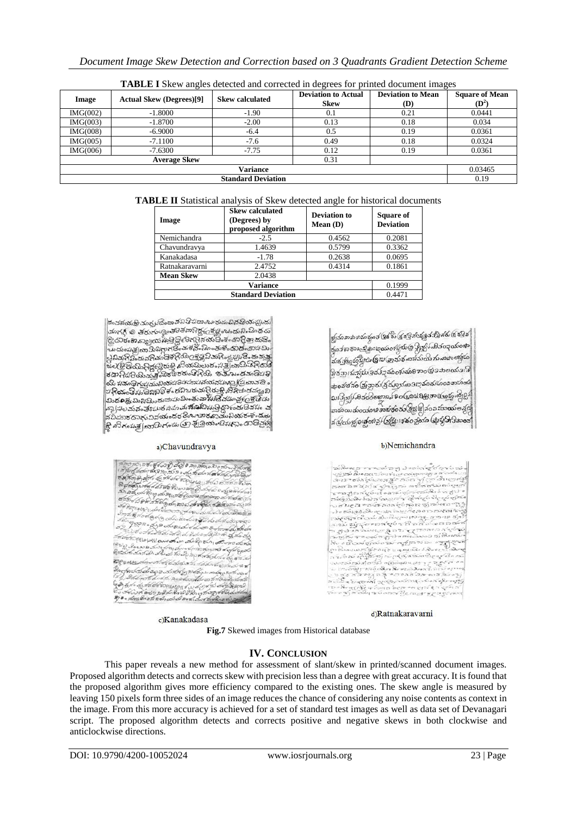| Image                     | <b>Actual Skew (Degrees)[9]</b> | <b>Skew calculated</b> | <b>Deviation to Actual</b><br><b>Skew</b> | <b>Deviation to Mean</b><br>(D) | <b>Square of Mean</b><br>$(D^2)$ |
|---------------------------|---------------------------------|------------------------|-------------------------------------------|---------------------------------|----------------------------------|
| IMG(002)                  | $-1.8000$                       | $-1.90$                | 0.1                                       | 0.21                            | 0.0441                           |
| MG(003)                   | $-1.8700$                       | $-2.00$                | 0.13                                      | 0.18                            | 0.034                            |
| IMG(008)                  | $-6.9000$                       | $-6.4$                 | 0.5                                       | 0.19                            | 0.0361                           |
| MG(005)                   | $-7.1100$                       | $-7.6$                 | 0.49                                      | 0.18                            | 0.0324                           |
| IMG(006)                  | $-7.6300$                       | $-7.75$                | 0.12                                      | 0.19                            | 0.0361                           |
|                           |                                 |                        |                                           |                                 |                                  |
| Variance                  |                                 |                        |                                           |                                 |                                  |
| <b>Standard Deviation</b> |                                 |                        |                                           |                                 | 0.19                             |

**TABLE I** Skew angles detected and corrected in degrees for printed document images

|  | TABLE II Statistical analysis of Skew detected angle for historical documents |
|--|-------------------------------------------------------------------------------|
|--|-------------------------------------------------------------------------------|

| Image            | <b>Skew calculated</b><br>(Degrees) by<br>proposed algorithm | <b>Deviation to</b><br>Mean $(D)$ | <b>Square of</b><br><b>Deviation</b> |
|------------------|--------------------------------------------------------------|-----------------------------------|--------------------------------------|
| Nemichandra      | $-2.5$                                                       | 0.4562                            | 0.2081                               |
| Chavundravya     | 1.4639                                                       | 0.5799                            | 0.3362                               |
| Kanakadasa       | $-1.78$                                                      | 0.2638                            | 0.0695                               |
| Ratnakaravarni   | 2.4752                                                       | 0.4314                            | 0.1861                               |
| <b>Mean Skew</b> | 2.0438                                                       |                                   |                                      |
|                  | 0.1999                                                       |                                   |                                      |
|                  | 0.4471                                                       |                                   |                                      |

.<br>దెంచవయ<del>మ్రి</del> చంస్పరదెంచావని తొడుదాబు భుడంచిన తియచ్చుతు మంగ్రన్ లి తరుభంత్రింతెరెతేవాదిద్దడ్రమ్మంఒడుని మిందు းသူဟု ေရသမၼရွာေကာင္းေနပါတီ အထားစားထား<br>ေသာေနာက္ျပား မွာေငြ ေလ့ေသာ ေရာင္မွာ ဆင္တာ .<br>ಒುದುಂಸುತ್ತ(ವಾದುನಿಧಾಗಡಿಂತುಕನೆಂದಿಂತುಕೆಂದುಡೆಂದು 4ಮಿ. ತಡಾ:ಸಪರಮವಾತ್ರಪುಕ್ತಪರಿಹಿಂತ ಸ್ಪರ್ಧಾತಿತಾ:ಪದಾಡಪರ<br>ಯ ಸಡಾಧಿಸಪ್ಪಮಾನಿಯಪರಿಸಮಾಪನ್ನಿರುಕ್ತಿ ಪ್ರಿಸಿಕುತ್ತದ್ದಾ ನಿ<br>ಪದಿಷ್ಠು ಪ್ರಸ್ತುವವುದು ಸಾಮಾಹುದ್ದಿರುಕ್ತಿ ಪ್ರಿಸಿಕುತ್ತದ್ದಾ ನಿ<br>|ಮಿಶೂಕ್ಷ್ಮಮಿ ನಿಭ್ರವವಾಸು ಮಿಂತಾವಾ ಸೂಡಿ ವರ್ಷವ್ರಕ್ಷದ್ರಾ ಸ အပြုပြင်ဆိုခဲ့ခြင်းမှုမှ မူးသုတ်ဆိုခဲ့သူမှုအမြစ်မှု အောင်များ အ ...<br>నవిడుకదానువినయందరరంబాబెరవాయనీయరంకండుల .<br>శ్రీ విగంపత్ల[బాహెగండు@శ్రీ@యంబెషధ్యం దొదెవ్రణ్ణ

#### a)Chavundravya

| A 70, 70 (280 860) 9, 30) 0 20, 760 (0 20 0 70 %) Prome                                                                                                                                                                        |
|--------------------------------------------------------------------------------------------------------------------------------------------------------------------------------------------------------------------------------|
| , de familient of the state of the state of the state of the state of the state of the state of the state of the state of the state of the state of the state of the state of the state of the state of the state of the state |
| 08 200 0 200 6 200 00 000 000 000 000 0000000                                                                                                                                                                                  |
| ลิ สุขันชัญมีชัด ศี 45 สี อิ ชิ 2 อา ลาย อิ จะวัชาบ่ จะปฏล ที่ชาค่าอา                                                                                                                                                          |
| the as an to go b a unto i good traser as the complete                                                                                                                                                                         |
| ซัตซีย DPP 3 ซี 6 ดูเป๋า ฮอม ประจำชีวิต เช่ อิสิต ซี e ซี เซล                                                                                                                                                                  |
| สัช ที่มีอูแลโอ แล่งสำหรับเรียง สูง เพื่อพอ ส่วนับสมอัลเด็กที่หลักเป็น                                                                                                                                                         |
| อีกระโช้ ที่ ต้อง ดูอ่าดู colo อีกง่างจะรู้อี ค่อ อีกที่ เชียงอัตริย์                                                                                                                                                          |
| ska goon a go a carou L o Los o Soco Lither                                                                                                                                                                                    |
| a grad a Federal de del de de de la de la de de de de la de de                                                                                                                                                                 |
| Acosoption ( law then direction at our doring                                                                                                                                                                                  |
|                                                                                                                                                                                                                                |
| on a 3 anno tanto o form dos un formationale el Geologie<br>Alectric distribution de de de de de porte de forme de primer                                                                                                      |
|                                                                                                                                                                                                                                |
| אישט איז פון פואיסוי יישוב אוישן פון אייאויגרפיקים ואים אויי חס אייטורין                                                                                                                                                       |
| g) BAL 143 to do the 2021 do out to 53 to 3 a do to the th                                                                                                                                                                     |
|                                                                                                                                                                                                                                |
|                                                                                                                                                                                                                                |
|                                                                                                                                                                                                                                |
|                                                                                                                                                                                                                                |

c)Kanakadasa

జ్జ్రీకంవామభువంద్రంకే శ్రీశోబ్ (శ్రద్ధత్ర వర్ణత్ర కర్ణ శరు (శ్ర శ్రీశ్రీ စ္ခု<br>စုကုဒ္မသမားငန္းေျခားအေလ့လုပ္တံကုန္ပြဲ ရွိသိုး မွာ ၃ဝသီဝယ္ ာ<br>သံစံဒွန်ရွှင့်ဂိုးပွုပ်၊ Gizi (အသံစံ ကသံသိ က ကဆင်းကြွင်း ာ<br>ဖြစ်အျပ်းစွဲနယ်ဖြစ်န်ဥသံစေနပ်ဆုံခြောဝ(ရွှင်ဆုံဗလာပါ -<br>ဆုဝဆံသံဆို (ဆြံခွာလ်(ရွိ*င်္လာသွ*န်းဝေး) သို့သည် သေဆိုင်ထိ သ၊ဒြုဘုံန်မာခံတိဓစ္ဆာစန်နဝ(များ) ရမ္ဘာ့အရမ္မာ၌ ကြိုး စားပုံတာဆုံဝတုံစေး သရာစုဝေ အခြား ခြင်း သွားတွင် မြေ ส ผู้อย่าต่างเลื้อผู้รู้ ได้ผู้งะเจ้าอยู่องค (มุรัญ วิเวิลออส

#### b)Nemichandra

 $\mathcal{R}_{2}$  , a company of pairs or the regulation to some or the properties of the company of the company of the company of the company of the company of the company of the company of the company of the company of the com

d)Ratnakaravarni

**Fig.7** Skewed images from Historical database

### **IV. CONCLUSION**

This paper reveals a new method for assessment of slant/skew in printed/scanned document images. Proposed algorithm detects and corrects skew with precision less than a degree with great accuracy. It is found that the proposed algorithm gives more efficiency compared to the existing ones. The skew angle is measured by leaving 150 pixels form three sides of an image reduces the chance of considering any noise contents as context in the image. From this more accuracy is achieved for a set of standard test images as well as data set of Devanagari script. The proposed algorithm detects and corrects positive and negative skews in both clockwise and anticlockwise directions.